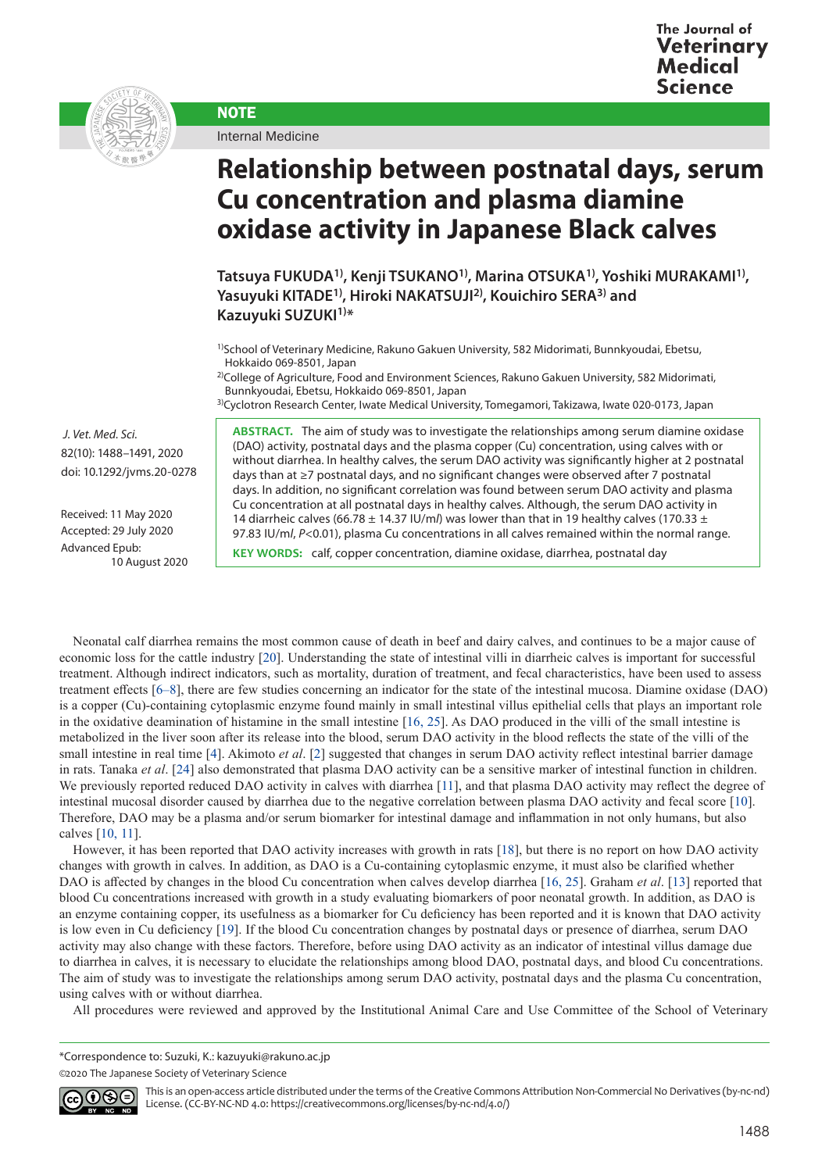



Internal Medicine

**NOTE** 

## **Relationship between postnatal days, serum Cu concentration and plasma diamine oxidase activity in Japanese Black calves**

**Tatsuya FUKUDA1), Kenji TSUKANO1), Marina OTSUKA1), Yoshiki MURAKAMI1), Yasuyuki KITADE1), Hiroki NAKATSUJI2), Kouichiro SERA3) and Kazuyuki SUZUKI1)\***

1)School of Veterinary Medicine, Rakuno Gakuen University, 582 Midorimati, Bunnkyoudai, Ebetsu, Hokkaido 069-8501, Japan

2)College of Agriculture, Food and Environment Sciences, Rakuno Gakuen University, 582 Midorimati, Bunnkyoudai, Ebetsu, Hokkaido 069-8501, Japan

3)Cyclotron Research Center, Iwate Medical University, Tomegamori, Takizawa, Iwate 020-0173, Japan

**ABSTRACT.** The aim of study was to investigate the relationships among serum diamine oxidase (DAO) activity, postnatal days and the plasma copper (Cu) concentration, using calves with or without diarrhea. In healthy calves, the serum DAO activity was significantly higher at 2 postnatal days than at ≥7 postnatal days, and no significant changes were observed after 7 postnatal days. In addition, no significant correlation was found between serum DAO activity and plasma Cu concentration at all postnatal days in healthy calves. Although, the serum DAO activity in 14 diarrheic calves (66.78  $\pm$  14.37 IU/m/) was lower than that in 19 healthy calves (170.33  $\pm$ 97.83 IU/m/,  $P<0.01$ ), plasma Cu concentrations in all calves remained within the normal range.

**KEY WORDS:** calf, copper concentration, diamine oxidase, diarrhea, postnatal day

 *J. Vet. Med. Sci.*  82(10): 1488–1491, 2020 doi: 10.1292/jvms.20-0278

Received: 11 May 2020 Accepted: 29 July 2020 Advanced Epub: 10 August 2020

Neonatal calf diarrhea remains the most common cause of death in beef and dairy calves, and continues to be a major cause of economic loss for the cattle industry [[20](#page-3-0)]. Understanding the state of intestinal villi in diarrheic calves is important for successful treatment. Although indirect indicators, such as mortality, duration of treatment, and fecal characteristics, have been used to assess treatment effects [[6–8\]](#page-2-0), there are few studies concerning an indicator for the state of the intestinal mucosa. Diamine oxidase (DAO) is a copper (Cu)-containing cytoplasmic enzyme found mainly in small intestinal villus epithelial cells that plays an important role in the oxidative deamination of histamine in the small intestine [\[16, 25](#page-3-1)]. As DAO produced in the villi of the small intestine is metabolized in the liver soon after its release into the blood, serum DAO activity in the blood reflects the state of the villi of the small intestine in real time [\[4\]](#page-2-1). Akimoto *et al.* [[2](#page-2-2)] suggested that changes in serum DAO activity reflect intestinal barrier damage in rats. Tanaka *et al*. [[24](#page-3-2)] also demonstrated that plasma DAO activity can be a sensitive marker of intestinal function in children. We previously reported reduced DAO activity in calves with diarrhea [\[11](#page-3-3)], and that plasma DAO activity may reflect the degree of intestinal mucosal disorder caused by diarrhea due to the negative correlation between plasma DAO activity and fecal score [\[10](#page-3-4)]. Therefore, DAO may be a plasma and/or serum biomarker for intestinal damage and inflammation in not only humans, but also calves [\[10, 11](#page-3-4)].

However, it has been reported that DAO activity increases with growth in rats [\[18](#page-3-5)], but there is no report on how DAO activity changes with growth in calves. In addition, as DAO is a Cu-containing cytoplasmic enzyme, it must also be clarified whether DAO is affected by changes in the blood Cu concentration when calves develop diarrhea [[16, 25\]](#page-3-1). Graham *et al*. [[13](#page-3-6)] reported that blood Cu concentrations increased with growth in a study evaluating biomarkers of poor neonatal growth. In addition, as DAO is an enzyme containing copper, its usefulness as a biomarker for Cu deficiency has been reported and it is known that DAO activity is low even in Cu deficiency [19]. If the blood Cu concentration changes by postnatal days or presence of diarrhea, serum DAO activity may also change with these factors. Therefore, before using DAO activity as an indicator of intestinal villus damage due to diarrhea in calves, it is necessary to elucidate the relationships among blood DAO, postnatal days, and blood Cu concentrations. The aim of study was to investigate the relationships among serum DAO activity, postnatal days and the plasma Cu concentration, using calves with or without diarrhea.

All procedures were reviewed and approved by the Institutional Animal Care and Use Committee of the School of Veterinary

\*Correspondence to: Suzuki, K.: kazuyuki@rakuno.ac.jp ©2020 The Japanese Society of Veterinary Science



This is an open-access article distributed under the terms of the Creative Commons Attribution Non-Commercial No Derivatives (by-nc-nd) License. (CC-BY-NC-ND 4.0: <https://creativecommons.org/licenses/by-nc-nd/4.0/>)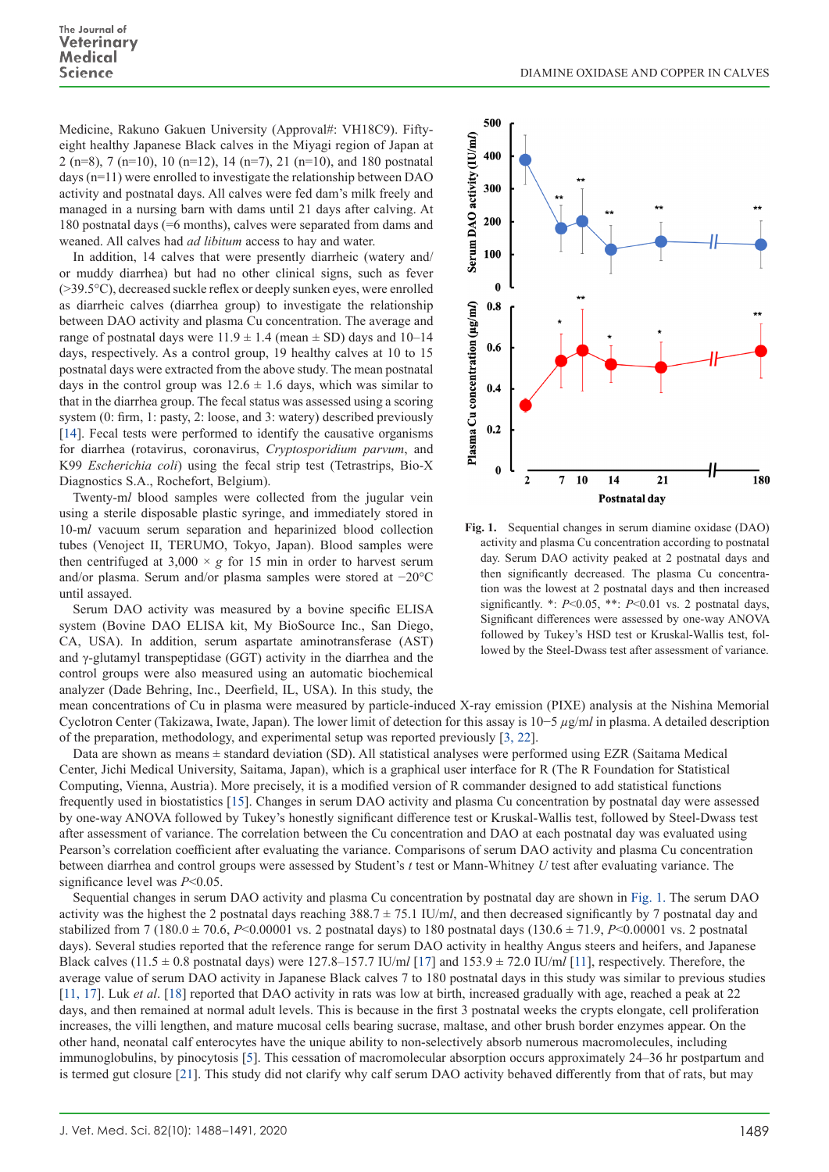Medicine, Rakuno Gakuen University (Approval#: VH18C9). Fiftyeight healthy Japanese Black calves in the Miyagi region of Japan at 2 (n=8), 7 (n=10), 10 (n=12), 14 (n=7), 21 (n=10), and 180 postnatal days (n=11) were enrolled to investigate the relationship between DAO activity and postnatal days. All calves were fed dam's milk freely and managed in a nursing barn with dams until 21 days after calving. At 180 postnatal days (=6 months), calves were separated from dams and weaned. All calves had *ad libitum* access to hay and water.

In addition, 14 calves that were presently diarrheic (watery and/ or muddy diarrhea) but had no other clinical signs, such as fever (>39.5°C), decreased suckle reflex or deeply sunken eyes, were enrolled as diarrheic calves (diarrhea group) to investigate the relationship between DAO activity and plasma Cu concentration. The average and range of postnatal days were  $11.9 \pm 1.4$  (mean  $\pm$  SD) days and 10–14 days, respectively. As a control group, 19 healthy calves at 10 to 15 postnatal days were extracted from the above study. The mean postnatal days in the control group was  $12.6 \pm 1.6$  days, which was similar to that in the diarrhea group. The fecal status was assessed using a scoring system (0: firm, 1: pasty, 2: loose, and 3: watery) described previously [[14](#page-3-7)]. Fecal tests were performed to identify the causative organisms for diarrhea (rotavirus, coronavirus, *Cryptosporidium parvum*, and K99 *Escherichia coli*) using the fecal strip test (Tetrastrips, Bio-X Diagnostics S.A., Rochefort, Belgium).

Twenty-m*l* blood samples were collected from the jugular vein using a sterile disposable plastic syringe, and immediately stored in 10-m*l* vacuum serum separation and heparinized blood collection tubes (Venoject II, TERUMO, Tokyo, Japan). Blood samples were then centrifuged at  $3,000 \times g$  for 15 min in order to harvest serum and/or plasma. Serum and/or plasma samples were stored at −20°C until assayed.

Serum DAO activity was measured by a bovine specific ELISA system (Bovine DAO ELISA kit, My BioSource Inc., San Diego, CA, USA). In addition, serum aspartate aminotransferase (AST) and γ-glutamyl transpeptidase (GGT) activity in the diarrhea and the control groups were also measured using an automatic biochemical analyzer (Dade Behring, Inc., Deerfield, IL, USA). In this study, the



**Fig. 1.** Sequential changes in serum diamine oxidase (DAO) activity and plasma Cu concentration according to postnatal day. Serum DAO activity peaked at 2 postnatal days and then significantly decreased. The plasma Cu concentration was the lowest at 2 postnatal days and then increased significantly. \*: *P*<0.05, \*\*: *P*<0.01 vs. 2 postnatal days, Significant differences were assessed by one-way ANOVA followed by Tukey's HSD test or Kruskal-Wallis test, followed by the Steel-Dwass test after assessment of variance.

mean concentrations of Cu in plasma were measured by particle-induced X-ray emission (PIXE) analysis at the Nishina Memorial Cyclotron Center (Takizawa, Iwate, Japan). The lower limit of detection for this assay is 10−5 *µ*g/m*l* in plasma. A detailed description of the preparation, methodology, and experimental setup was reported previously [[3, 22](#page-2-3)].

Data are shown as means ± standard deviation (SD). All statistical analyses were performed using EZR (Saitama Medical Center, Jichi Medical University, Saitama, Japan), which is a graphical user interface for R (The R Foundation for Statistical Computing, Vienna, Austria). More precisely, it is a modified version of R commander designed to add statistical functions frequently used in biostatistics [\[15](#page-3-8)]. Changes in serum DAO activity and plasma Cu concentration by postnatal day were assessed by one-way ANOVA followed by Tukey's honestly significant difference test or Kruskal-Wallis test, followed by Steel-Dwass test after assessment of variance. The correlation between the Cu concentration and DAO at each postnatal day was evaluated using Pearson's correlation coefficient after evaluating the variance. Comparisons of serum DAO activity and plasma Cu concentration between diarrhea and control groups were assessed by Student's *t* test or Mann-Whitney *U* test after evaluating variance. The significance level was *P*<0.05.

Sequential changes in serum DAO activity and plasma Cu concentration by postnatal day are shown in Fig. 1. The serum DAO activity was the highest the 2 postnatal days reaching 388.7 ± 75.1 IU/m*l*, and then decreased significantly by 7 postnatal day and stabilized from 7 (180.0 ± 70.6, *P*<0.00001 vs. 2 postnatal days) to 180 postnatal days (130.6 ± 71.9, *P*<0.00001 vs. 2 postnatal days). Several studies reported that the reference range for serum DAO activity in healthy Angus steers and heifers, and Japanese Black calves (11.5 ± 0.8 postnatal days) were 127.8–157.7 IU/m*l* [\[1](#page-3-9)7] and 153.9 ± 72.0 IU/m*l* [[11\]](#page-3-3), respectively. Therefore, the average value of serum DAO activity in Japanese Black calves 7 to 180 postnatal days in this study was similar to previous studies [[11, 17](#page-3-3)]. Luk *et al*. [\[18](#page-3-5)] reported that DAO activity in rats was low at birth, increased gradually with age, reached a peak at 22 days, and then remained at normal adult levels. This is because in the first 3 postnatal weeks the crypts elongate, cell proliferation increases, the villi lengthen, and mature mucosal cells bearing sucrase, maltase, and other brush border enzymes appear. On the other hand, neonatal calf enterocytes have the unique ability to non-selectively absorb numerous macromolecules, including immunoglobulins, by pinocytosis [\[5\]](#page-2-4). This cessation of macromolecular absorption occurs approximately 24–36 hr postpartum and is termed gut closure [\[2](#page-3-10)1]. This study did not clarify why calf serum DAO activity behaved differently from that of rats, but may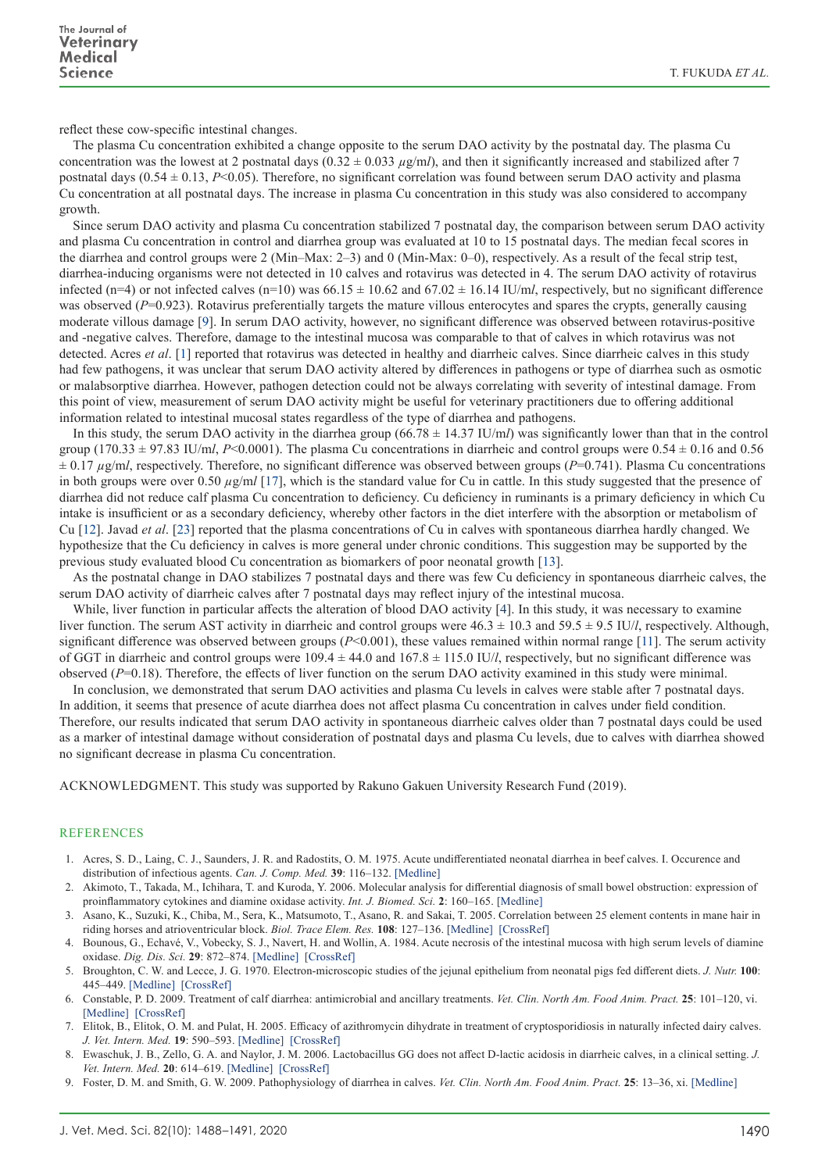reflect these cow-specific intestinal changes.

The plasma Cu concentration exhibited a change opposite to the serum DAO activity by the postnatal day. The plasma Cu concentration was the lowest at 2 postnatal days  $(0.32 \pm 0.033 \ \mu g/ml)$ , and then it significantly increased and stabilized after 7 postnatal days  $(0.54 \pm 0.13, P<0.05)$ . Therefore, no significant correlation was found between serum DAO activity and plasma Cu concentration at all postnatal days. The increase in plasma Cu concentration in this study was also considered to accompany growth.

Since serum DAO activity and plasma Cu concentration stabilized 7 postnatal day, the comparison between serum DAO activity and plasma Cu concentration in control and diarrhea group was evaluated at 10 to 15 postnatal days. The median fecal scores in the diarrhea and control groups were 2 (Min–Max: 2–3) and 0 (Min-Max: 0–0), respectively. As a result of the fecal strip test, diarrhea-inducing organisms were not detected in 10 calves and rotavirus was detected in 4. The serum DAO activity of rotavirus infected (n=4) or not infected calves (n=10) was  $66.15 \pm 10.62$  and  $67.02 \pm 16.14$  IU/ml, respectively, but no significant difference was observed (*P*=0.923). Rotavirus preferentially targets the mature villous enterocytes and spares the crypts, generally causing moderate villous damage [\[9](#page-2-5)]. In serum DAO activity, however, no significant difference was observed between rotavirus-positive and -negative calves. Therefore, damage to the intestinal mucosa was comparable to that of calves in which rotavirus was not detected. Acres *et al*. [\[1](#page-2-6)] reported that rotavirus was detected in healthy and diarrheic calves. Since diarrheic calves in this study had few pathogens, it was unclear that serum DAO activity altered by differences in pathogens or type of diarrhea such as osmotic or malabsorptive diarrhea. However, pathogen detection could not be always correlating with severity of intestinal damage. From this point of view, measurement of serum DAO activity might be useful for veterinary practitioners due to offering additional information related to intestinal mucosal states regardless of the type of diarrhea and pathogens.

In this study, the serum DAO activity in the diarrhea group (66.78 ± 14.37 IU/m*l*) was significantly lower than that in the control group (170.33  $\pm$  97.83 IU/m*l*, *P*<0.0001). The plasma Cu concentrations in diarrheic and control groups were 0.54  $\pm$  0.16 and 0.56 ± 0.17 *µ*g/m*l*, respectively. Therefore, no significant difference was observed between groups (*P*=0.741). Plasma Cu concentrations in both groups were over 0.50  $\mu$ g/m*l* [\[1](#page-3-9)7], which is the standard value for Cu in cattle. In this study suggested that the presence of diarrhea did not reduce calf plasma Cu concentration to deficiency. Cu deficiency in ruminants is a primary deficiency in which Cu intake is insufficient or as a secondary deficiency, whereby other factors in the diet interfere with the absorption or metabolism of Cu [[12](#page-3-11)]. Javad *et al*. [23] reported that the plasma concentrations of Cu in calves with spontaneous diarrhea hardly changed. We hypothesize that the Cu deficiency in calves is more general under chronic conditions. This suggestion may be supported by the previous study evaluated blood Cu concentration as biomarkers of poor neonatal growth [[13](#page-3-6)].

As the postnatal change in DAO stabilizes 7 postnatal days and there was few Cu deficiency in spontaneous diarrheic calves, the serum DAO activity of diarrheic calves after 7 postnatal days may reflect injury of the intestinal mucosa.

While, liver function in particular affects the alteration of blood DAO activity [[4](#page-2-1)]. In this study, it was necessary to examine liver function. The serum AST activity in diarrheic and control groups were 46.3 ± 10.3 and 59.5 ± 9.5 IU/*l*, respectively. Although, significant difference was observed between groups (*P*<0.001), these values remained within normal range [[11\]](#page-3-3). The serum activity of GGT in diarrheic and control groups were  $109.4 \pm 44.0$  and  $167.8 \pm 115.0$  IU/*l*, respectively, but no significant difference was observed (*P*=0.18). Therefore, the effects of liver function on the serum DAO activity examined in this study were minimal.

In conclusion, we demonstrated that serum DAO activities and plasma Cu levels in calves were stable after 7 postnatal days. In addition, it seems that presence of acute diarrhea does not affect plasma Cu concentration in calves under field condition. Therefore, our results indicated that serum DAO activity in spontaneous diarrheic calves older than 7 postnatal days could be used as a marker of intestinal damage without consideration of postnatal days and plasma Cu levels, due to calves with diarrhea showed no significant decrease in plasma Cu concentration.

ACKNOWLEDGMENT. This study was supported by Rakuno Gakuen University Research Fund (2019).

## **REFERENCES**

- <span id="page-2-6"></span>1. Acres, S. D., Laing, C. J., Saunders, J. R. and Radostits, O. M. 1975. Acute undifferentiated neonatal diarrhea in beef calves. I. Occurence and distribution of infectious agents. *Can. J. Comp. Med.* **39**: 116–132. [\[Medline\]](http://www.ncbi.nlm.nih.gov/pubmed/1092438?dopt=Abstract)
- <span id="page-2-2"></span>2. Akimoto, T., Takada, M., Ichihara, T. and Kuroda, Y. 2006. Molecular analysis for differential diagnosis of small bowel obstruction: expression of proinflammatory cytokines and diamine oxidase activity. *Int. J. Biomed. Sci.* **2**: 160–165. [\[Medline\]](http://www.ncbi.nlm.nih.gov/pubmed/23674977?dopt=Abstract)
- <span id="page-2-3"></span>3. Asano, K., Suzuki, K., Chiba, M., Sera, K., Matsumoto, T., Asano, R. and Sakai, T. 2005. Correlation between 25 element contents in mane hair in riding horses and atrioventricular block. *Biol. Trace Elem. Res.* **108**: 127–136. [\[Medline\]](http://www.ncbi.nlm.nih.gov/pubmed/16327066?dopt=Abstract) [\[CrossRef\]](http://dx.doi.org/10.1385/BTER:108:1-3:127)
- <span id="page-2-1"></span>4. Bounous, G., Echavé, V., Vobecky, S. J., Navert, H. and Wollin, A. 1984. Acute necrosis of the intestinal mucosa with high serum levels of diamine oxidase. *Dig. Dis. Sci.* **29**: 872–874. [\[Medline\]](http://www.ncbi.nlm.nih.gov/pubmed/6432501?dopt=Abstract) [\[CrossRef\]](http://dx.doi.org/10.1007/BF01318436)
- <span id="page-2-4"></span>5. Broughton, C. W. and Lecce, J. G. 1970. Electron-microscopic studies of the jejunal epithelium from neonatal pigs fed different diets. *J. Nutr.* **100**: 445–449. [\[Medline\]](http://www.ncbi.nlm.nih.gov/pubmed/4191426?dopt=Abstract) [\[CrossRef\]](http://dx.doi.org/10.1093/jn/100.4.445)
- <span id="page-2-0"></span>6. Constable, P. D. 2009. Treatment of calf diarrhea: antimicrobial and ancillary treatments. *Vet. Clin. North Am. Food Anim. Pract.* **25**: 101–120, vi. [\[Medline\]](http://www.ncbi.nlm.nih.gov/pubmed/19174285?dopt=Abstract) [\[CrossRef\]](http://dx.doi.org/10.1016/j.cvfa.2008.10.012)
- 7. Elitok, B., Elitok, O. M. and Pulat, H. 2005. Efficacy of azithromycin dihydrate in treatment of cryptosporidiosis in naturally infected dairy calves. *J. Vet. Intern. Med.* **19**: 590–593. [\[Medline\]](http://www.ncbi.nlm.nih.gov/pubmed/16095179?dopt=Abstract) [\[CrossRef\]](http://dx.doi.org/10.1111/j.1939-1676.2005.tb02732.x)
- 8. Ewaschuk, J. B., Zello, G. A. and Naylor, J. M. 2006. Lactobacillus GG does not affect D-lactic acidosis in diarrheic calves, in a clinical setting. *J. Vet. Intern. Med.* **20**: 614–619. [\[Medline\]](http://www.ncbi.nlm.nih.gov/pubmed/16734098?dopt=Abstract) [\[CrossRef\]](http://dx.doi.org/10.1111/j.1939-1676.2006.tb02905.x)
- <span id="page-2-5"></span>9. Foster, D. M. and Smith, G. W. 2009. Pathophysiology of diarrhea in calves. *Vet. Clin. North Am. Food Anim. Pract.* **25**: 13–36, xi. [\[Medline\]](http://www.ncbi.nlm.nih.gov/pubmed/19174281?dopt=Abstract)